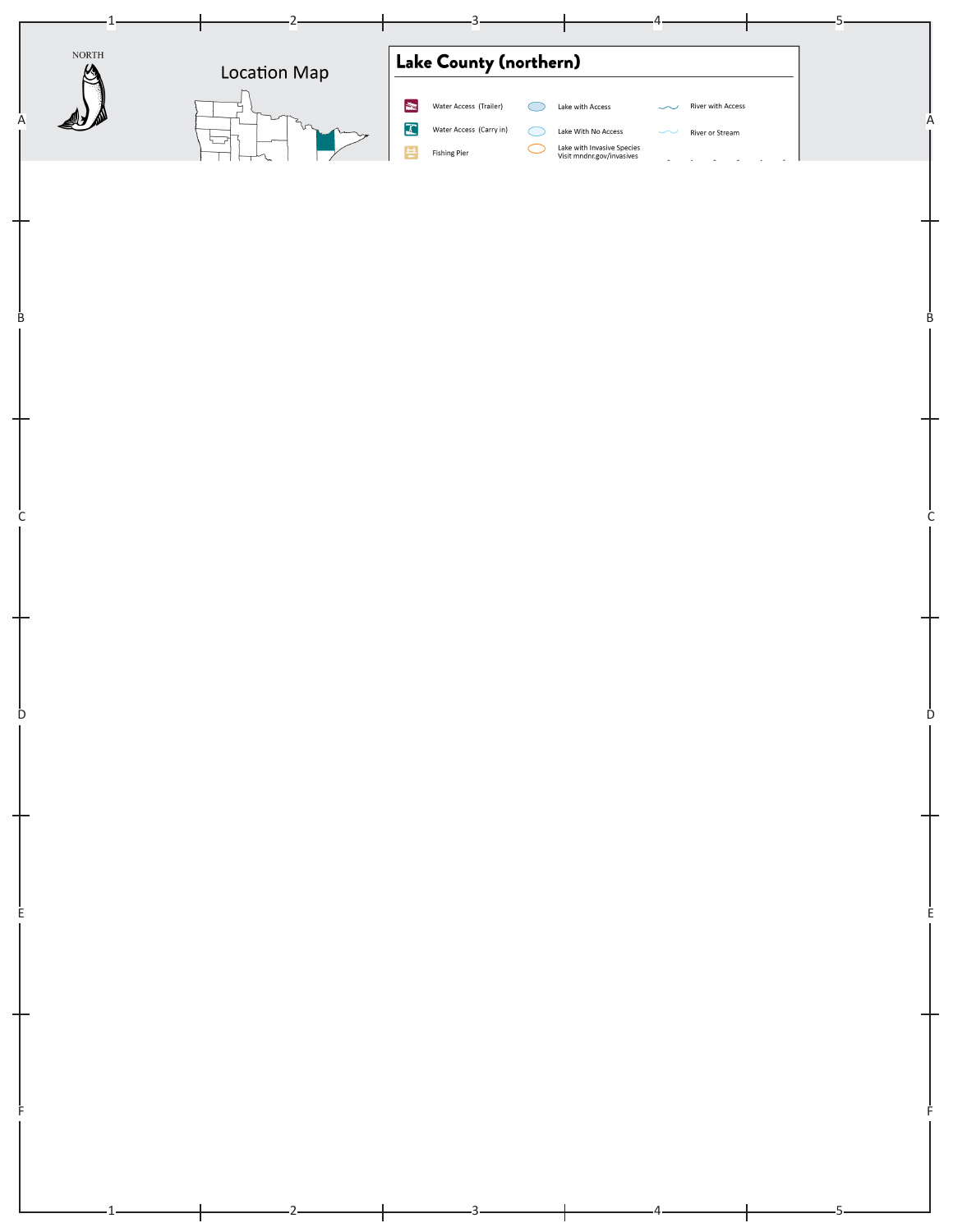